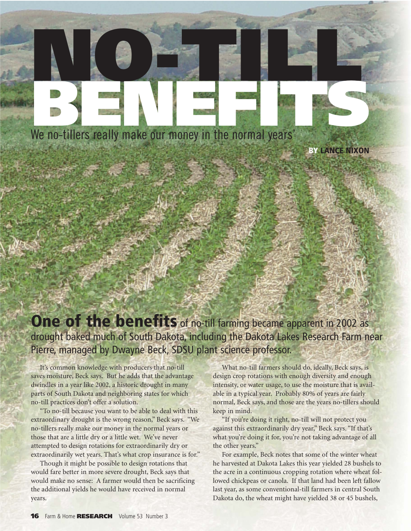We no-tillers really make our money in the normal years' We no-tillers really make our money in the normal years'

**BY LANCE NIXON**

## **One of the benefits** of no-till farming became apparent in 2002 as drought baked much of South Dakota, including the Dakota Lakes Research Farm near Pierre, managed by Dwayne Beck, SDSU plant science professor.

It's common knowledge with producers that no-till saves moisture, Beck says. But he adds that the advantage dwindles in a year like 2002, a historic drought in many parts of South Dakota and neighboring states for which no-till practices don't offer a solution.

"To no-till because you want to be able to deal with this extraordinary drought is the wrong reason," Beck says. "We no-tillers really make our money in the normal years or those that are a little dry or a little wet. We've never attempted to design rotations for extraordinarily dry or extraordinarily wet years. That's what crop insurance is for."

Though it might be possible to design rotations that would fare better in more severe drought, Beck says that would make no sense: A farmer would then be sacrificing the additional yields he would have received in normal years.

What no-till farmers should do, ideally, Beck says, is design crop rotations with enough diversity and enough intensity, or water usage, to use the moisture that is available in a typical year. Probably 80% of years are fairly normal, Beck says, and those are the years no-tillers should keep in mind.

"If you're doing it right, no-till will not protect you against this extraordinarily dry year," Beck says. "If that's what you're doing it for, you're not taking advantage of all the other years."

For example, Beck notes that some of the winter wheat he harvested at Dakota Lakes this year yielded 28 bushels to the acre in a continuous cropping rotation where wheat followed chickpeas or canola. If that land had been left fallow last year, as some conventional-till farmers in central South Dakota do, the wheat might have yielded 38 or 45 bushels,